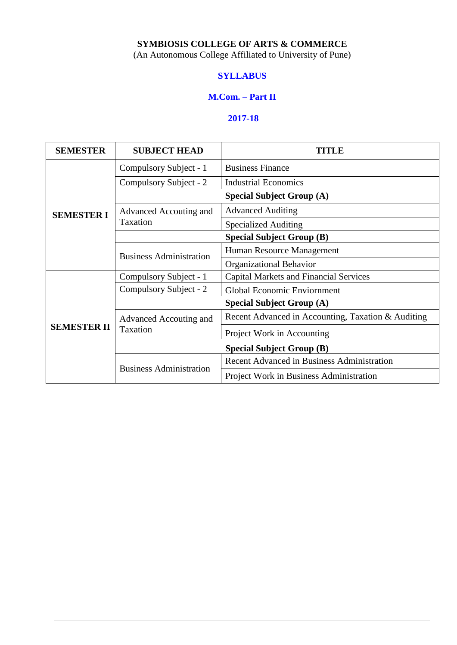## **SYMBIOSIS COLLEGE OF ARTS & COMMERCE**

(An Autonomous College Affiliated to University of Pune)

## **SYLLABUS**

#### **M.Com. – Part II**

## **2017-18**

| <b>SEMESTER</b>    | <b>SUBJECT HEAD</b>                | TITLE                                              |  |
|--------------------|------------------------------------|----------------------------------------------------|--|
|                    | Compulsory Subject - 1             | <b>Business Finance</b>                            |  |
|                    | Compulsory Subject - 2             | <b>Industrial Economics</b>                        |  |
|                    |                                    | <b>Special Subject Group (A)</b>                   |  |
| <b>SEMESTER I</b>  | Advanced Accouting and             | <b>Advanced Auditing</b>                           |  |
|                    | Taxation                           | <b>Specialized Auditing</b>                        |  |
|                    | <b>Special Subject Group (B)</b>   |                                                    |  |
|                    | <b>Business Administration</b>     | Human Resource Management                          |  |
|                    |                                    | <b>Organizational Behavior</b>                     |  |
|                    | Compulsory Subject - 1             | <b>Capital Markets and Financial Services</b>      |  |
|                    | Compulsory Subject - 2             | Global Economic Enviornment                        |  |
|                    | <b>Special Subject Group (A)</b>   |                                                    |  |
|                    | Advanced Accouting and<br>Taxation | Recent Advanced in Accounting, Taxation & Auditing |  |
| <b>SEMESTER II</b> |                                    | Project Work in Accounting                         |  |
|                    | <b>Special Subject Group (B)</b>   |                                                    |  |
|                    |                                    | <b>Recent Advanced in Business Administration</b>  |  |
|                    | <b>Business Administration</b>     | Project Work in Business Administration            |  |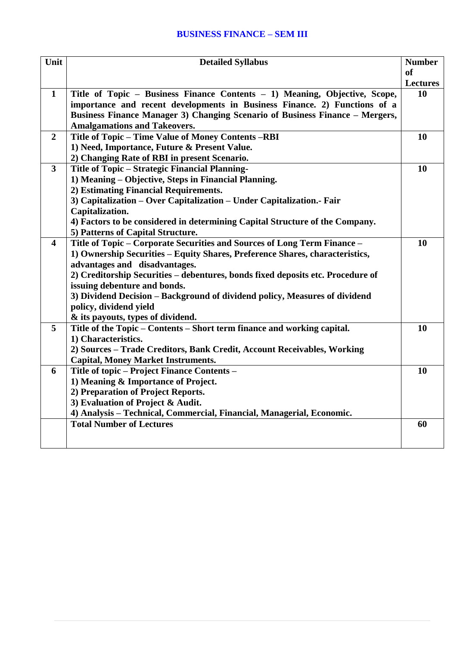## **BUSINESS FINANCE – SEM III**

| Unit                    | <b>Detailed Syllabus</b>                                                        | <b>Number</b>   |
|-------------------------|---------------------------------------------------------------------------------|-----------------|
|                         |                                                                                 | <b>of</b>       |
|                         |                                                                                 | <b>Lectures</b> |
| $\mathbf{1}$            | Title of Topic – Business Finance Contents – 1) Meaning, Objective, Scope,      | 10              |
|                         | importance and recent developments in Business Finance. 2) Functions of a       |                 |
|                         | Business Finance Manager 3) Changing Scenario of Business Finance - Mergers,    |                 |
|                         | <b>Amalgamations and Takeovers.</b>                                             |                 |
| $\overline{2}$          | Title of Topic - Time Value of Money Contents -RBI                              | <b>10</b>       |
|                         | 1) Need, Importance, Future & Present Value.                                    |                 |
|                         | 2) Changing Rate of RBI in present Scenario.                                    |                 |
| $\overline{\mathbf{3}}$ | Title of Topic - Strategic Financial Planning-                                  | <b>10</b>       |
|                         | 1) Meaning - Objective, Steps in Financial Planning.                            |                 |
|                         | 2) Estimating Financial Requirements.                                           |                 |
|                         | 3) Capitalization - Over Capitalization - Under Capitalization. Fair            |                 |
|                         | Capitalization.                                                                 |                 |
|                         | 4) Factors to be considered in determining Capital Structure of the Company.    |                 |
|                         | 5) Patterns of Capital Structure.                                               |                 |
| $\overline{\mathbf{4}}$ | Title of Topic - Corporate Securities and Sources of Long Term Finance -        | 10              |
|                         | 1) Ownership Securities - Equity Shares, Preference Shares, characteristics,    |                 |
|                         | advantages and disadvantages.                                                   |                 |
|                         | 2) Creditorship Securities - debentures, bonds fixed deposits etc. Procedure of |                 |
|                         | issuing debenture and bonds.                                                    |                 |
|                         | 3) Dividend Decision - Background of dividend policy, Measures of dividend      |                 |
|                         | policy, dividend yield                                                          |                 |
|                         | & its payouts, types of dividend.                                               |                 |
| 5                       | Title of the Topic – Contents – Short term finance and working capital.         | 10              |
|                         | 1) Characteristics.                                                             |                 |
|                         | 2) Sources - Trade Creditors, Bank Credit, Account Receivables, Working         |                 |
|                         | <b>Capital, Money Market Instruments.</b>                                       |                 |
| 6                       | Title of topic – Project Finance Contents –                                     | 10              |
|                         | 1) Meaning & Importance of Project.                                             |                 |
|                         | 2) Preparation of Project Reports.                                              |                 |
|                         | 3) Evaluation of Project & Audit.                                               |                 |
|                         | 4) Analysis - Technical, Commercial, Financial, Managerial, Economic.           |                 |
|                         | <b>Total Number of Lectures</b>                                                 | 60              |
|                         |                                                                                 |                 |
|                         |                                                                                 |                 |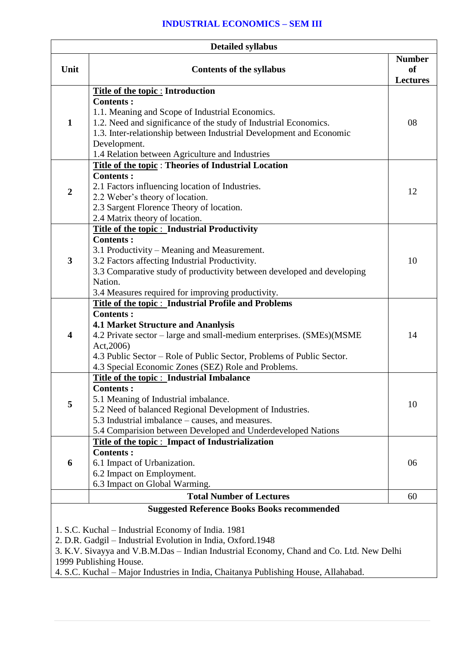#### **INDUSTRIAL ECONOMICS – SEM III**

|                         | <b>Detailed syllabus</b>                                                                         |                                               |
|-------------------------|--------------------------------------------------------------------------------------------------|-----------------------------------------------|
| Unit                    | <b>Contents of the syllabus</b>                                                                  | <b>Number</b><br><b>of</b><br><b>Lectures</b> |
|                         | Title of the topic : Introduction                                                                |                                               |
|                         | <b>Contents:</b>                                                                                 |                                               |
|                         | 1.1. Meaning and Scope of Industrial Economics.                                                  |                                               |
| $\mathbf{1}$            | 1.2. Need and significance of the study of Industrial Economics.                                 | 08                                            |
|                         | 1.3. Inter-relationship between Industrial Development and Economic                              |                                               |
|                         | Development.                                                                                     |                                               |
|                         | 1.4 Relation between Agriculture and Industries                                                  |                                               |
|                         | <b>Title of the topic: Theories of Industrial Location</b>                                       |                                               |
|                         | <b>Contents:</b>                                                                                 |                                               |
| $\boldsymbol{2}$        | 2.1 Factors influencing location of Industries.                                                  | 12                                            |
|                         | 2.2 Weber's theory of location.<br>2.3 Sargent Florence Theory of location.                      |                                               |
|                         | 2.4 Matrix theory of location.                                                                   |                                               |
|                         | <b>Title of the topic: Industrial Productivity</b>                                               |                                               |
|                         | <b>Contents:</b>                                                                                 |                                               |
|                         | 3.1 Productivity – Meaning and Measurement.                                                      |                                               |
| 3                       | 3.2 Factors affecting Industrial Productivity.                                                   | 10                                            |
|                         | 3.3 Comparative study of productivity between developed and developing                           |                                               |
|                         | Nation.                                                                                          |                                               |
|                         | 3.4 Measures required for improving productivity.                                                |                                               |
|                         | Title of the topic: Industrial Profile and Problems                                              |                                               |
|                         | <b>Contents:</b>                                                                                 |                                               |
|                         | <b>4.1 Market Structure and Ananlysis</b>                                                        |                                               |
| $\overline{\mathbf{4}}$ | 4.2 Private sector – large and small-medium enterprises. (SMEs)(MSME                             | 14                                            |
|                         | Act, 2006)                                                                                       |                                               |
|                         | 4.3 Public Sector – Role of Public Sector, Problems of Public Sector.                            |                                               |
|                         | 4.3 Special Economic Zones (SEZ) Role and Problems.                                              |                                               |
|                         | Title of the topic : Industrial Imbalance                                                        |                                               |
|                         | <b>Contents:</b>                                                                                 |                                               |
| 5                       | 5.1 Meaning of Industrial imbalance.<br>5.2 Need of balanced Regional Development of Industries. | 10                                            |
|                         | 5.3 Industrial imbalance – causes, and measures.                                                 |                                               |
|                         | 5.4 Comparision between Developed and Underdeveloped Nations                                     |                                               |
|                         | Title of the topic : Impact of Industrialization                                                 |                                               |
|                         | <b>Contents:</b>                                                                                 |                                               |
| 6                       | 6.1 Impact of Urbanization.                                                                      | 06                                            |
|                         | 6.2 Impact on Employment.                                                                        |                                               |
|                         | 6.3 Impact on Global Warming.                                                                    |                                               |
|                         | <b>Total Number of Lectures</b>                                                                  | 60                                            |
|                         | <b>Suggested Reference Books Books recommended</b>                                               |                                               |
|                         |                                                                                                  |                                               |
|                         | 1. S.C. Kuchal – Industrial Economy of India. 1981                                               |                                               |
|                         | 2. D.R. Gadgil - Industrial Evolution in India, Oxford.1948                                      |                                               |
|                         | 3. K.V. Sivayya and V.B.M.Das - Indian Industrial Economy, Chand and Co. Ltd. New Delhi          |                                               |

1999 Publishing House.

4. S.C. Kuchal – Major Industries in India, Chaitanya Publishing House, Allahabad.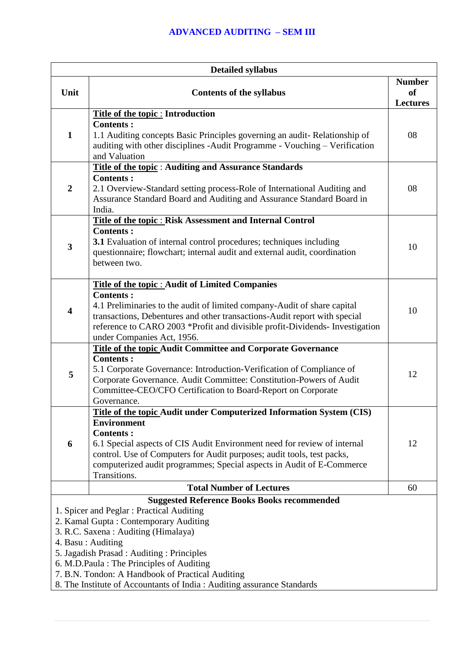| <b>Detailed syllabus</b> |                                                                                                                                                                                                                                                                                                                                                                                                                           |                            |
|--------------------------|---------------------------------------------------------------------------------------------------------------------------------------------------------------------------------------------------------------------------------------------------------------------------------------------------------------------------------------------------------------------------------------------------------------------------|----------------------------|
| Unit                     | <b>Contents of the syllabus</b>                                                                                                                                                                                                                                                                                                                                                                                           | <b>Number</b><br><b>of</b> |
|                          |                                                                                                                                                                                                                                                                                                                                                                                                                           | <b>Lectures</b>            |
| $\mathbf{1}$             | Title of the topic : Introduction<br><b>Contents:</b><br>1.1 Auditing concepts Basic Principles governing an audit-Relationship of<br>auditing with other disciplines -Audit Programme - Vouching - Verification<br>and Valuation                                                                                                                                                                                         | 08                         |
| $\overline{2}$           | <b>Title of the topic: Auditing and Assurance Standards</b><br><b>Contents:</b><br>2.1 Overview-Standard setting process-Role of International Auditing and<br>Assurance Standard Board and Auditing and Assurance Standard Board in<br>India.                                                                                                                                                                            | 08                         |
| 3                        | Title of the topic : Risk Assessment and Internal Control<br><b>Contents:</b><br><b>3.1</b> Evaluation of internal control procedures; techniques including<br>questionnaire; flowchart; internal audit and external audit, coordination<br>between two.                                                                                                                                                                  | 10                         |
| 4                        | <b>Title of the topic: Audit of Limited Companies</b><br><b>Contents:</b><br>4.1 Preliminaries to the audit of limited company-Audit of share capital<br>transactions, Debentures and other transactions-Audit report with special<br>reference to CARO 2003 *Profit and divisible profit-Dividends- Investigation<br>under Companies Act, 1956.                                                                          | 10                         |
| 5                        | Title of the topic Audit Committee and Corporate Governance<br><b>Contents:</b><br>5.1 Corporate Governance: Introduction-Verification of Compliance of<br>Corporate Governance. Audit Committee: Constitution-Powers of Audit<br>Committee-CEO/CFO Certification to Board-Report on Corporate<br>Governance.                                                                                                             | 12                         |
| 6                        | <b>Title of the topic Audit under Computerized Information System (CIS)</b><br><b>Environment</b><br><b>Contents:</b><br>6.1 Special aspects of CIS Audit Environment need for review of internal<br>control. Use of Computers for Audit purposes; audit tools, test packs,<br>computerized audit programmes; Special aspects in Audit of E-Commerce<br>Transitions.                                                      | 12                         |
|                          | <b>Total Number of Lectures</b>                                                                                                                                                                                                                                                                                                                                                                                           | 60                         |
|                          | <b>Suggested Reference Books Books recommended</b><br>1. Spicer and Peglar: Practical Auditing<br>2. Kamal Gupta: Contemporary Auditing<br>3. R.C. Saxena: Auditing (Himalaya)<br>4. Basu: Auditing<br>5. Jagadish Prasad: Auditing: Principles<br>6. M.D.Paula: The Principles of Auditing<br>7. B.N. Tondon: A Handbook of Practical Auditing<br>8. The Institute of Accountants of India: Auditing assurance Standards |                            |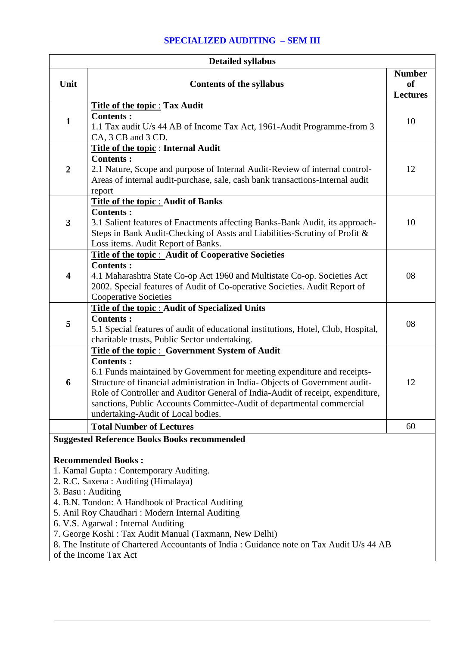# **SPECIALIZED AUDITING – SEM III**

| <b>Detailed syllabus</b> |                                                                                                                                                                                                                                                                                                                                                                              |                                                   |
|--------------------------|------------------------------------------------------------------------------------------------------------------------------------------------------------------------------------------------------------------------------------------------------------------------------------------------------------------------------------------------------------------------------|---------------------------------------------------|
| Unit                     | <b>Contents of the syllabus</b>                                                                                                                                                                                                                                                                                                                                              | <b>Number</b><br><sub>of</sub><br><b>Lectures</b> |
|                          | <b>Title of the topic: Tax Audit</b>                                                                                                                                                                                                                                                                                                                                         |                                                   |
| $\mathbf{1}$             | <b>Contents:</b><br>1.1 Tax audit U/s 44 AB of Income Tax Act, 1961-Audit Programme-from 3<br>CA, 3 CB and 3 CD.                                                                                                                                                                                                                                                             | 10                                                |
|                          | Title of the topic: Internal Audit<br><b>Contents:</b>                                                                                                                                                                                                                                                                                                                       |                                                   |
| $\boldsymbol{2}$         | 2.1 Nature, Scope and purpose of Internal Audit-Review of internal control-<br>Areas of internal audit-purchase, sale, cash bank transactions-Internal audit<br>report                                                                                                                                                                                                       | 12                                                |
|                          | Title of the topic : Audit of Banks                                                                                                                                                                                                                                                                                                                                          |                                                   |
| $\mathbf{3}$             | <b>Contents:</b><br>3.1 Salient features of Enactments affecting Banks-Bank Audit, its approach-<br>Steps in Bank Audit-Checking of Assts and Liabilities-Scrutiny of Profit &<br>Loss items. Audit Report of Banks.                                                                                                                                                         | 10                                                |
|                          | Title of the topic : Audit of Cooperative Societies                                                                                                                                                                                                                                                                                                                          |                                                   |
| $\overline{\mathbf{4}}$  | <b>Contents:</b><br>4.1 Maharashtra State Co-op Act 1960 and Multistate Co-op. Societies Act<br>2002. Special features of Audit of Co-operative Societies. Audit Report of<br><b>Cooperative Societies</b>                                                                                                                                                                   | 08                                                |
|                          | <b>Title of the topic : Audit of Specialized Units</b>                                                                                                                                                                                                                                                                                                                       |                                                   |
| 5                        | <b>Contents:</b><br>5.1 Special features of audit of educational institutions, Hotel, Club, Hospital,<br>charitable trusts, Public Sector undertaking.                                                                                                                                                                                                                       | 08                                                |
|                          | Title of the topic: Government System of Audit                                                                                                                                                                                                                                                                                                                               |                                                   |
| 6                        | <b>Contents:</b><br>6.1 Funds maintained by Government for meeting expenditure and receipts-<br>Structure of financial administration in India-Objects of Government audit-<br>Role of Controller and Auditor General of India-Audit of receipt, expenditure,<br>sanctions, Public Accounts Committee-Audit of departmental commercial<br>undertaking-Audit of Local bodies. | 12                                                |
|                          | <b>Total Number of Lectures</b>                                                                                                                                                                                                                                                                                                                                              | 60                                                |
|                          | <b>Suggested Reference Books Books recommended</b>                                                                                                                                                                                                                                                                                                                           |                                                   |
|                          | <b>Recommended Books:</b>                                                                                                                                                                                                                                                                                                                                                    |                                                   |
|                          | 1. Kamal Gupta: Contemporary Auditing.<br>2. R.C. Saxena: Auditing (Himalaya)                                                                                                                                                                                                                                                                                                |                                                   |
|                          | 3. Basu: Auditing                                                                                                                                                                                                                                                                                                                                                            |                                                   |
|                          | 4. B.N. Tondon: A Handbook of Practical Auditing                                                                                                                                                                                                                                                                                                                             |                                                   |
|                          | 5. Anil Roy Chaudhari: Modern Internal Auditing                                                                                                                                                                                                                                                                                                                              |                                                   |
|                          | 6. V.S. Agarwal : Internal Auditing                                                                                                                                                                                                                                                                                                                                          |                                                   |
|                          | 7. George Koshi: Tax Audit Manual (Taxmann, New Delhi)<br>8. The Institute of Chartered Accountants of India : Guidance note on Tax Audit U/s 44 AB                                                                                                                                                                                                                          |                                                   |
|                          | of the Income Tax Act                                                                                                                                                                                                                                                                                                                                                        |                                                   |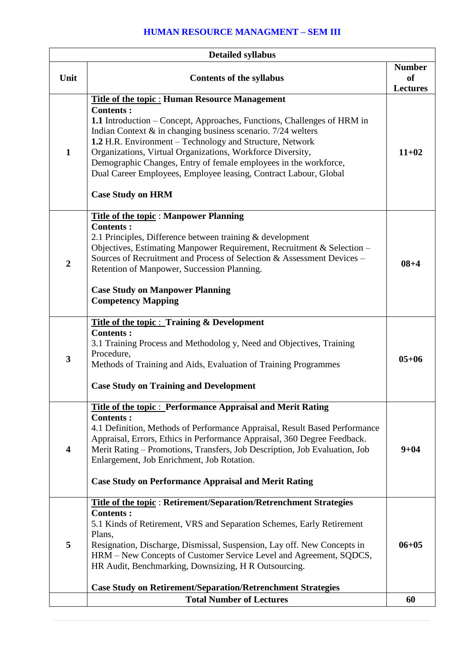# **HUMAN RESOURCE MANAGMENT – SEM III**

|                         | <b>Detailed syllabus</b>                                                                                                                                                                                                                                                                                                                                                                                                                                                                                             |                                               |
|-------------------------|----------------------------------------------------------------------------------------------------------------------------------------------------------------------------------------------------------------------------------------------------------------------------------------------------------------------------------------------------------------------------------------------------------------------------------------------------------------------------------------------------------------------|-----------------------------------------------|
| Unit                    | <b>Contents of the syllabus</b>                                                                                                                                                                                                                                                                                                                                                                                                                                                                                      | <b>Number</b><br><b>of</b><br><b>Lectures</b> |
| $\mathbf{1}$            | <b>Title of the topic: Human Resource Management</b><br><b>Contents:</b><br>1.1 Introduction – Concept, Approaches, Functions, Challenges of HRM in<br>Indian Context $\&$ in changing business scenario. 7/24 welters<br>1.2 H.R. Environment - Technology and Structure, Network<br>Organizations, Virtual Organizations, Workforce Diversity,<br>Demographic Changes, Entry of female employees in the workforce,<br>Dual Career Employees, Employee leasing, Contract Labour, Global<br><b>Case Study on HRM</b> | $11 + 02$                                     |
| $\overline{2}$          | <b>Title of the topic: Manpower Planning</b><br><b>Contents:</b><br>2.1 Principles, Difference between training $&$ development<br>Objectives, Estimating Manpower Requirement, Recruitment & Selection -<br>Sources of Recruitment and Process of Selection & Assessment Devices –<br>Retention of Manpower, Succession Planning.<br><b>Case Study on Manpower Planning</b><br><b>Competency Mapping</b>                                                                                                            | $08 + 4$                                      |
| 3                       | <b>Title of the topic: Training &amp; Development</b><br><b>Contents:</b><br>3.1 Training Process and Methodolog y, Need and Objectives, Training<br>Procedure,<br>Methods of Training and Aids, Evaluation of Training Programmes<br><b>Case Study on Training and Development</b>                                                                                                                                                                                                                                  | $05 + 06$                                     |
| $\overline{\mathbf{4}}$ | <b>Title of the topic: Performance Appraisal and Merit Rating</b><br><b>Contents:</b><br>4.1 Definition, Methods of Performance Appraisal, Result Based Performance<br>Appraisal, Errors, Ethics in Performance Appraisal, 360 Degree Feedback.<br>Merit Rating – Promotions, Transfers, Job Description, Job Evaluation, Job<br>Enlargement, Job Enrichment, Job Rotation.<br><b>Case Study on Performance Appraisal and Merit Rating</b>                                                                           | $9 + 04$                                      |
| 5                       | <b>Title of the topic: Retirement/Separation/Retrenchment Strategies</b><br><b>Contents:</b><br>5.1 Kinds of Retirement, VRS and Separation Schemes, Early Retirement<br>Plans,<br>Resignation, Discharge, Dismissal, Suspension, Lay off. New Concepts in<br>HRM - New Concepts of Customer Service Level and Agreement, SQDCS,<br>HR Audit, Benchmarking, Downsizing, H R Outsourcing.<br><b>Case Study on Retirement/Separation/Retrenchment Strategies</b>                                                       | $06 + 05$                                     |
|                         | <b>Total Number of Lectures</b>                                                                                                                                                                                                                                                                                                                                                                                                                                                                                      | 60                                            |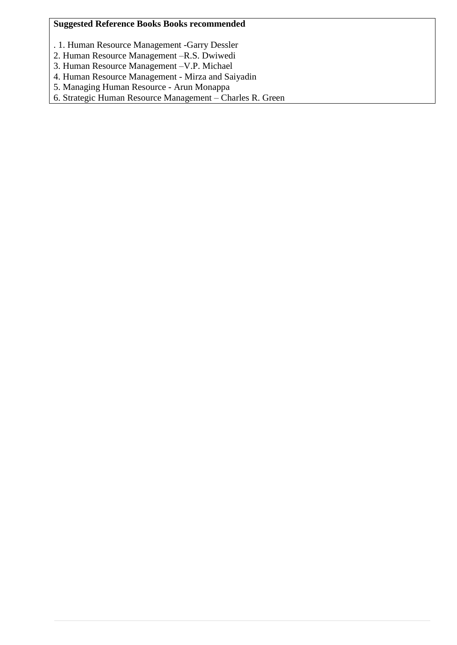## **Suggested Reference Books Books recommended**

- . 1. Human Resource Management -Garry Dessler
- 2. Human Resource Management –R.S. Dwiwedi
- 3. Human Resource Management –V.P. Michael
- 4. Human Resource Management Mirza and Saiyadin
- 5. Managing Human Resource Arun Monappa

6. Strategic Human Resource Management – Charles R. Green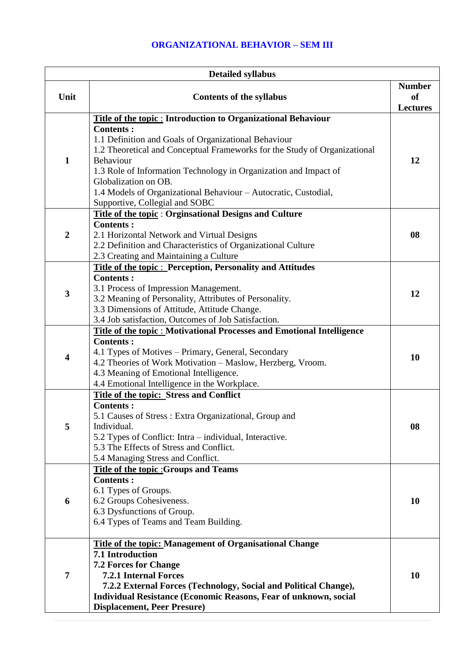## **ORGANIZATIONAL BEHAVIOR – SEM III**

|                | <b>Detailed syllabus</b>                                                                                   |                              |
|----------------|------------------------------------------------------------------------------------------------------------|------------------------------|
|                |                                                                                                            | <b>Number</b>                |
| Unit           | <b>Contents of the syllabus</b>                                                                            | <b>of</b><br><b>Lectures</b> |
|                | <b>Title of the topic: Introduction to Organizational Behaviour</b>                                        |                              |
|                | <b>Contents:</b>                                                                                           |                              |
|                | 1.1 Definition and Goals of Organizational Behaviour                                                       |                              |
|                | 1.2 Theoretical and Conceptual Frameworks for the Study of Organizational                                  |                              |
| 1              | Behaviour                                                                                                  | 12                           |
|                | 1.3 Role of Information Technology in Organization and Impact of<br>Globalization on OB.                   |                              |
|                | 1.4 Models of Organizational Behaviour - Autocratic, Custodial,                                            |                              |
|                | Supportive, Collegial and SOBC                                                                             |                              |
|                | <b>Title of the topic: Orginsational Designs and Culture</b>                                               |                              |
|                | <b>Contents:</b>                                                                                           |                              |
| $\overline{2}$ | 2.1 Horizontal Network and Virtual Designs                                                                 | 08                           |
|                | 2.2 Definition and Characteristics of Organizational Culture                                               |                              |
|                | 2.3 Creating and Maintaining a Culture<br><b>Title of the topic: Perception, Personality and Attitudes</b> |                              |
|                | <b>Contents:</b>                                                                                           |                              |
|                | 3.1 Process of Impression Management.                                                                      |                              |
| 3              | 3.2 Meaning of Personality, Attributes of Personality.                                                     | 12                           |
|                | 3.3 Dimensions of Attitude, Attitude Change.                                                               |                              |
|                | 3.4 Job satisfaction, Outcomes of Job Satisfaction.                                                        |                              |
|                | <b>Title of the topic: Motivational Processes and Emotional Intelligence</b><br><b>Contents:</b>           |                              |
|                | 4.1 Types of Motives – Primary, General, Secondary                                                         |                              |
| 4              | 4.2 Theories of Work Motivation - Maslow, Herzberg, Vroom.                                                 | 10                           |
|                | 4.3 Meaning of Emotional Intelligence.                                                                     |                              |
|                | 4.4 Emotional Intelligence in the Workplace.                                                               |                              |
|                | <b>Title of the topic: Stress and Conflict</b>                                                             |                              |
|                | <b>Contents:</b>                                                                                           |                              |
| 5              | 5.1 Causes of Stress: Extra Organizational, Group and<br>Individual.                                       | 08                           |
|                | 5.2 Types of Conflict: Intra – individual, Interactive.                                                    |                              |
|                | 5.3 The Effects of Stress and Conflict.                                                                    |                              |
|                | 5.4 Managing Stress and Conflict.                                                                          |                              |
|                | <b>Title of the topic: Groups and Teams</b>                                                                |                              |
|                | <b>Contents:</b>                                                                                           |                              |
| 6              | 6.1 Types of Groups.<br>6.2 Groups Cohesiveness.                                                           | <b>10</b>                    |
|                | 6.3 Dysfunctions of Group.                                                                                 |                              |
|                | 6.4 Types of Teams and Team Building.                                                                      |                              |
|                |                                                                                                            |                              |
|                | <b>Title of the topic: Management of Organisational Change</b>                                             |                              |
|                | 7.1 Introduction                                                                                           |                              |
| 7              | <b>7.2 Forces for Change</b><br><b>7.2.1 Internal Forces</b>                                               | 10                           |
|                | 7.2.2 External Forces (Technology, Social and Political Change),                                           |                              |
|                | Individual Resistance (Economic Reasons, Fear of unknown, social                                           |                              |
|                | <b>Displacement, Peer Presure)</b>                                                                         |                              |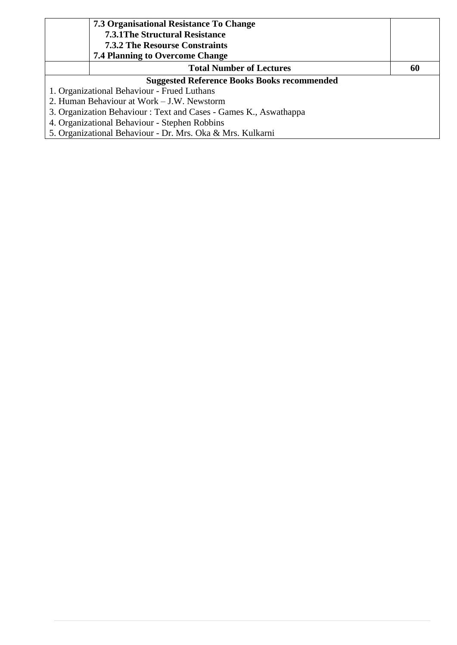| 7.3 Organisational Resistance To Change<br><b>7.3.1 The Structural Resistance</b><br><b>7.3.2 The Resourse Constraints</b><br><b>7.4 Planning to Overcome Change</b> |    |
|----------------------------------------------------------------------------------------------------------------------------------------------------------------------|----|
| <b>Total Number of Lectures</b>                                                                                                                                      | 60 |
| <b>Suggested Reference Books Books recommended</b>                                                                                                                   |    |
| 1. Organizational Behaviour - Frued Luthans                                                                                                                          |    |
| 2. Human Behaviour at Work – J.W. Newstorm                                                                                                                           |    |
| 3. Organization Behaviour: Text and Cases - Games K., Aswathappa                                                                                                     |    |
| 4. Organizational Behaviour - Stephen Robbins                                                                                                                        |    |
| 5. Organizational Behaviour - Dr. Mrs. Oka & Mrs. Kulkarni                                                                                                           |    |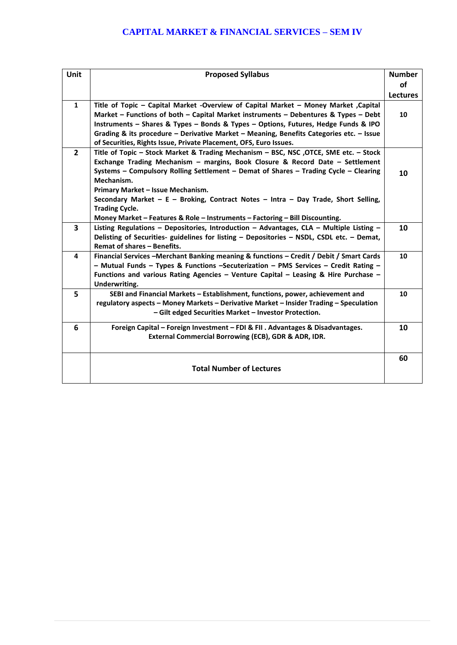## **CAPITAL MARKET & FINANCIAL SERVICES – SEM IV**

| Unit                    | <b>Proposed Syllabus</b>                                                                  | <b>Number</b>   |
|-------------------------|-------------------------------------------------------------------------------------------|-----------------|
|                         |                                                                                           | <b>of</b>       |
|                         |                                                                                           | <b>Lectures</b> |
| $\mathbf{1}$            | Title of Topic – Capital Market -Overview of Capital Market – Money Market ,Capital       |                 |
|                         | Market – Functions of both – Capital Market instruments – Debentures & Types – Debt       | 10              |
|                         | Instruments - Shares & Types - Bonds & Types - Options, Futures, Hedge Funds & IPO        |                 |
|                         | Grading & its procedure - Derivative Market - Meaning, Benefits Categories etc. - Issue   |                 |
|                         | of Securities, Rights Issue, Private Placement, OFS, Euro Issues.                         |                 |
| $\overline{2}$          | Title of Topic - Stock Market & Trading Mechanism - BSC, NSC , OTCE, SME etc. - Stock     |                 |
|                         | Exchange Trading Mechanism - margins, Book Closure & Record Date - Settlement             |                 |
|                         | Systems - Compulsory Rolling Settlement - Demat of Shares - Trading Cycle - Clearing      | 10              |
|                         | Mechanism.                                                                                |                 |
|                         | Primary Market - Issue Mechanism.                                                         |                 |
|                         | Secondary Market - E - Broking, Contract Notes - Intra - Day Trade, Short Selling,        |                 |
|                         | <b>Trading Cycle.</b>                                                                     |                 |
|                         | Money Market - Features & Role - Instruments - Factoring - Bill Discounting.              |                 |
| $\overline{\mathbf{3}}$ | Listing Regulations - Depositories, Introduction - Advantages, CLA - Multiple Listing -   | 10              |
|                         | Delisting of Securities- guidelines for listing - Depositories - NSDL, CSDL etc. - Demat, |                 |
|                         | Remat of shares - Benefits.                                                               |                 |
| 4                       | Financial Services - Merchant Banking meaning & functions - Credit / Debit / Smart Cards  | 10              |
|                         | - Mutual Funds - Types & Functions -Secuterization - PMS Services - Credit Rating -       |                 |
|                         | Functions and various Rating Agencies - Venture Capital - Leasing & Hire Purchase -       |                 |
|                         | Underwriting.                                                                             |                 |
| 5                       | SEBI and Financial Markets - Establishment, functions, power, achievement and             | 10              |
|                         | regulatory aspects - Money Markets - Derivative Market - Insider Trading - Speculation    |                 |
|                         | - Gilt edged Securities Market - Investor Protection.                                     |                 |
| 6                       | Foreign Capital - Foreign Investment - FDI & FII . Advantages & Disadvantages.            | 10              |
|                         | External Commercial Borrowing (ECB), GDR & ADR, IDR.                                      |                 |
|                         |                                                                                           |                 |
|                         |                                                                                           | 60              |
|                         | <b>Total Number of Lectures</b>                                                           |                 |
|                         |                                                                                           |                 |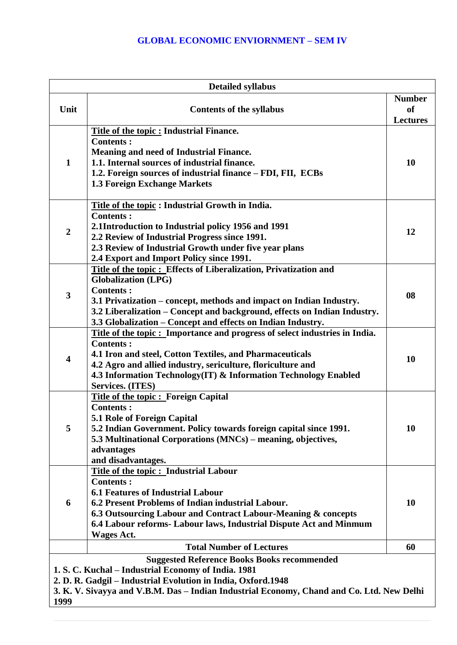## **GLOBAL ECONOMIC ENVIORNMENT – SEM IV**

|                         | <b>Detailed syllabus</b>                                                                                                                                                                                                                                                                                                             |                                               |
|-------------------------|--------------------------------------------------------------------------------------------------------------------------------------------------------------------------------------------------------------------------------------------------------------------------------------------------------------------------------------|-----------------------------------------------|
| Unit                    | <b>Contents of the syllabus</b>                                                                                                                                                                                                                                                                                                      | <b>Number</b><br><b>of</b><br><b>Lectures</b> |
| $\mathbf{1}$            | Title of the topic : Industrial Finance.<br><b>Contents:</b><br><b>Meaning and need of Industrial Finance.</b><br>1.1. Internal sources of industrial finance.<br>1.2. Foreign sources of industrial finance - FDI, FII, ECBs<br>1.3 Foreign Exchange Markets                                                                        | 10                                            |
| $\overline{2}$          | Title of the topic: Industrial Growth in India.<br><b>Contents:</b><br>2.1Introduction to Industrial policy 1956 and 1991<br>2.2 Review of Industrial Progress since 1991.<br>2.3 Review of Industrial Growth under five year plans<br>2.4 Export and Import Policy since 1991.                                                      | 12                                            |
| 3                       | Title of the topic: Effects of Liberalization, Privatization and<br><b>Globalization (LPG)</b><br><b>Contents:</b><br>3.1 Privatization – concept, methods and impact on Indian Industry.<br>3.2 Liberalization – Concept and background, effects on Indian Industry.<br>3.3 Globalization – Concept and effects on Indian Industry. | 08                                            |
| $\overline{\mathbf{4}}$ | Title of the topic: Importance and progress of select industries in India.<br><b>Contents:</b><br>4.1 Iron and steel, Cotton Textiles, and Pharmaceuticals<br>4.2 Agro and allied industry, sericulture, floriculture and<br>4.3 Information Technology(IT) & Information Technology Enabled<br><b>Services. (ITES)</b>              | 10                                            |
| 5                       | <b>Title of the topic: Foreign Capital</b><br><b>Contents:</b><br><b>5.1 Role of Foreign Capital</b><br>5.2 Indian Government. Policy towards foreign capital since 1991.<br>5.3 Multinational Corporations (MNCs) – meaning, objectives,<br>advantages<br>and disadvantages.                                                        | 10                                            |
| 6                       | Title of the topic: Industrial Labour<br><b>Contents:</b><br><b>6.1 Features of Industrial Labour</b><br>6.2 Present Problems of Indian industrial Labour.<br>6.3 Outsourcing Labour and Contract Labour-Meaning & concepts<br>6.4 Labour reforms- Labour laws, Industrial Dispute Act and Minmum<br><b>Wages Act.</b>               | 10                                            |
|                         | <b>Total Number of Lectures</b>                                                                                                                                                                                                                                                                                                      | 60                                            |
| 1999                    | <b>Suggested Reference Books Books recommended</b><br>1. S. C. Kuchal – Industrial Economy of India. 1981<br>2. D. R. Gadgil - Industrial Evolution in India, Oxford.1948<br>3. K. V. Sivayya and V.B.M. Das - Indian Industrial Economy, Chand and Co. Ltd. New Delhi                                                               |                                               |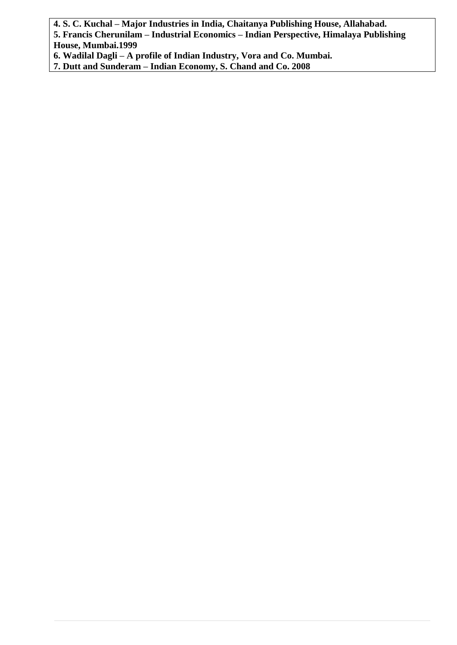**4. S. C. Kuchal – Major Industries in India, Chaitanya Publishing House, Allahabad.**

**5. Francis Cherunilam – Industrial Economics – Indian Perspective, Himalaya Publishing House, Mumbai.1999**

**6. Wadilal Dagli – A profile of Indian Industry, Vora and Co. Mumbai.**

**7. Dutt and Sunderam – Indian Economy, S. Chand and Co. 2008**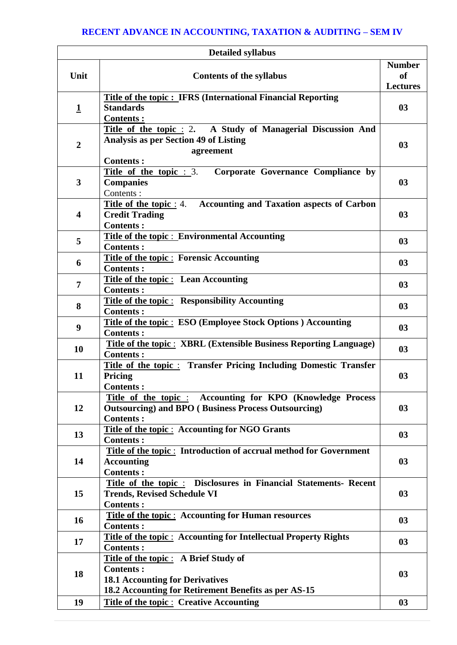# **RECENT ADVANCE IN ACCOUNTING, TAXATION & AUDITING – SEM IV**

|                         | <b>Detailed syllabus</b>                                                                                                                                   |                                                   |
|-------------------------|------------------------------------------------------------------------------------------------------------------------------------------------------------|---------------------------------------------------|
| Unit                    | <b>Contents of the syllabus</b>                                                                                                                            | <b>Number</b><br><sub>of</sub><br><b>Lectures</b> |
| $\mathbf 1$             | <b>Title of the topic: IFRS (International Financial Reporting</b><br><b>Standards</b><br><b>Contents:</b>                                                 | 03                                                |
| $\overline{2}$          | Title of the topic : 2. A Study of Managerial Discussion And<br><b>Analysis as per Section 49 of Listing</b><br>agreement<br><b>Contents:</b>              | 0 <sub>3</sub>                                    |
| $\mathbf{3}$            | Title of the topic $: 3$ .<br>Corporate Governance Compliance by<br><b>Companies</b><br>Contents:                                                          | 03                                                |
| $\overline{\mathbf{4}}$ | <b>Accounting and Taxation aspects of Carbon</b><br><b>Title of the topic</b> : 4.<br><b>Credit Trading</b><br><b>Contents:</b>                            | 03                                                |
| 5                       | <b>Title of the topic: Environmental Accounting</b><br><b>Contents:</b>                                                                                    | 0 <sub>3</sub>                                    |
| 6                       | <b>Title of the topic: Forensic Accounting</b><br><b>Contents:</b>                                                                                         | 03                                                |
| $\overline{7}$          | <b>Title of the topic:</b> Lean Accounting<br><b>Contents:</b>                                                                                             | 03                                                |
| 8                       | <b>Title of the topic: Responsibility Accounting</b><br><b>Contents:</b>                                                                                   | 0 <sub>3</sub>                                    |
| 9                       | <b>Title of the topic: ESO (Employee Stock Options) Accounting</b><br><b>Contents:</b>                                                                     | 03                                                |
| 10                      | <b>Title of the topic: XBRL (Extensible Business Reporting Language)</b><br><b>Contents:</b>                                                               | 03                                                |
| 11                      | <b>Title of the topic: Transfer Pricing Including Domestic Transfer</b><br>Pricing<br><b>Contents:</b>                                                     | 0 <sub>3</sub>                                    |
| 12                      | Title of the topic : Accounting for KPO (Knowledge Process<br><b>Outsourcing) and BPO (Business Process Outsourcing)</b><br><b>Contents:</b>               | 03                                                |
| 13                      | <b>Title of the topic: Accounting for NGO Grants</b><br><b>Contents:</b>                                                                                   | 0 <sub>3</sub>                                    |
| 14                      | Title of the topic: Introduction of accrual method for Government<br><b>Accounting</b><br><b>Contents:</b>                                                 | 03                                                |
| 15                      | Title of the topic: Disclosures in Financial Statements- Recent<br><b>Trends, Revised Schedule VI</b><br><b>Contents:</b>                                  | 03                                                |
| 16                      | <b>Title of the topic: Accounting for Human resources</b><br><b>Contents:</b>                                                                              | 03                                                |
| 17                      | <b>Title of the topic: Accounting for Intellectual Property Rights</b><br><b>Contents:</b>                                                                 | 03                                                |
| 18                      | Title of the topic: A Brief Study of<br><b>Contents:</b><br><b>18.1 Accounting for Derivatives</b><br>18.2 Accounting for Retirement Benefits as per AS-15 | 03                                                |
| 19                      | <b>Title of the topic: Creative Accounting</b>                                                                                                             | 0 <sub>3</sub>                                    |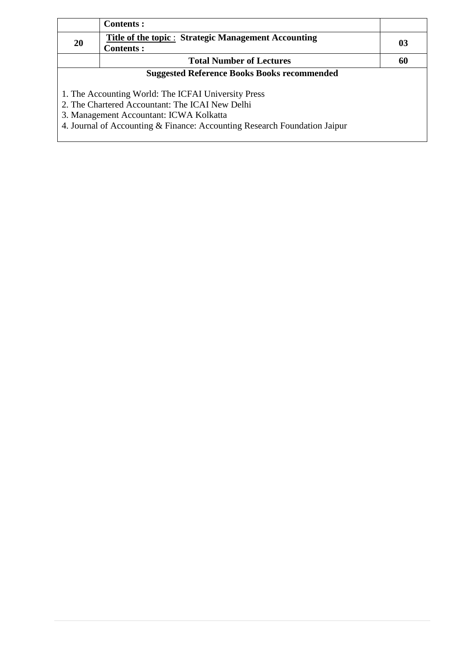|           | <b>Contents:</b>                                                                                                                                                                                                               |    |
|-----------|--------------------------------------------------------------------------------------------------------------------------------------------------------------------------------------------------------------------------------|----|
| <b>20</b> | Title of the topic : Strategic Management Accounting<br><b>Contents:</b>                                                                                                                                                       | 03 |
|           | <b>Total Number of Lectures</b>                                                                                                                                                                                                | 60 |
|           | <b>Suggested Reference Books Books recommended</b>                                                                                                                                                                             |    |
|           | 1. The Accounting World: The ICFAI University Press<br>2. The Chartered Accountant: The ICAI New Delhi<br>3. Management Accountant: ICWA Kolkatta<br>4. Journal of Accounting & Finance: Accounting Research Foundation Jaipur |    |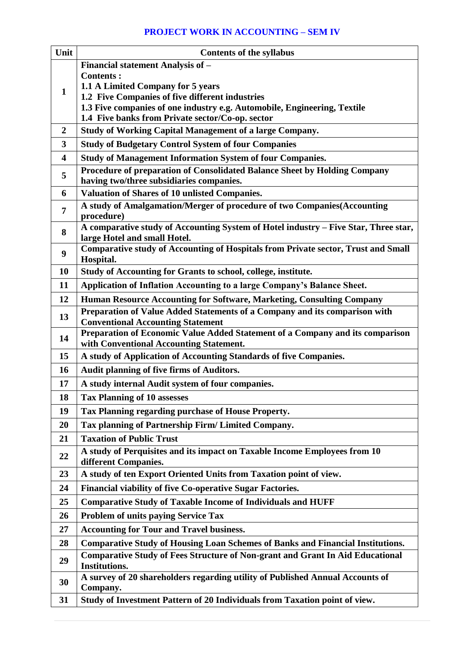## **PROJECT WORK IN ACCOUNTING – SEM IV**

| Unit                    | <b>Contents of the syllabus</b>                                                                              |  |  |  |
|-------------------------|--------------------------------------------------------------------------------------------------------------|--|--|--|
|                         | Financial statement Analysis of -                                                                            |  |  |  |
|                         | <b>Contents:</b>                                                                                             |  |  |  |
| 1                       | 1.1 A Limited Company for 5 years<br>1.2 Five Companies of five different industries                         |  |  |  |
|                         | 1.3 Five companies of one industry e.g. Automobile, Engineering, Textile                                     |  |  |  |
|                         | 1.4 Five banks from Private sector/Co-op. sector                                                             |  |  |  |
| $\overline{2}$          | <b>Study of Working Capital Management of a large Company.</b>                                               |  |  |  |
| 3                       | <b>Study of Budgetary Control System of four Companies</b>                                                   |  |  |  |
| $\overline{\mathbf{4}}$ | <b>Study of Management Information System of four Companies.</b>                                             |  |  |  |
| 5                       | Procedure of preparation of Consolidated Balance Sheet by Holding Company                                    |  |  |  |
|                         | having two/three subsidiaries companies.                                                                     |  |  |  |
| 6                       | Valuation of Shares of 10 unlisted Companies.                                                                |  |  |  |
| $\overline{7}$<br>8     | A study of Amalgamation/Merger of procedure of two Companies(Accounting<br>procedure)                        |  |  |  |
|                         | A comparative study of Accounting System of Hotel industry - Five Star, Three star,                          |  |  |  |
|                         | large Hotel and small Hotel.                                                                                 |  |  |  |
| 9                       | Comparative study of Accounting of Hospitals from Private sector, Trust and Small                            |  |  |  |
| <b>10</b>               | Hospital.<br>Study of Accounting for Grants to school, college, institute.                                   |  |  |  |
| 11                      | Application of Inflation Accounting to a large Company's Balance Sheet.                                      |  |  |  |
| 12                      | Human Resource Accounting for Software, Marketing, Consulting Company                                        |  |  |  |
|                         | Preparation of Value Added Statements of a Company and its comparison with                                   |  |  |  |
| 13                      | <b>Conventional Accounting Statement</b>                                                                     |  |  |  |
| 14                      | Preparation of Economic Value Added Statement of a Company and its comparison                                |  |  |  |
|                         | with Conventional Accounting Statement.                                                                      |  |  |  |
| 15                      | A study of Application of Accounting Standards of five Companies.                                            |  |  |  |
| 16                      | <b>Audit planning of five firms of Auditors.</b>                                                             |  |  |  |
| 17                      | A study internal Audit system of four companies.                                                             |  |  |  |
| 18                      | <b>Tax Planning of 10 assesses</b>                                                                           |  |  |  |
| 19                      | Tax Planning regarding purchase of House Property.                                                           |  |  |  |
| 20                      | Tax planning of Partnership Firm/ Limited Company.                                                           |  |  |  |
| 21                      | <b>Taxation of Public Trust</b>                                                                              |  |  |  |
| 22                      | A study of Perquisites and its impact on Taxable Income Employees from 10<br>different Companies.            |  |  |  |
| 23                      | A study of ten Export Oriented Units from Taxation point of view.                                            |  |  |  |
| 24                      | <b>Financial viability of five Co-operative Sugar Factories.</b>                                             |  |  |  |
| 25                      | <b>Comparative Study of Taxable Income of Individuals and HUFF</b>                                           |  |  |  |
| <b>26</b>               | <b>Problem of units paying Service Tax</b>                                                                   |  |  |  |
| 27                      | <b>Accounting for Tour and Travel business.</b>                                                              |  |  |  |
| 28                      | <b>Comparative Study of Housing Loan Schemes of Banks and Financial Institutions.</b>                        |  |  |  |
| 29                      | <b>Comparative Study of Fees Structure of Non-grant and Grant In Aid Educational</b><br><b>Institutions.</b> |  |  |  |
| 30                      | A survey of 20 shareholders regarding utility of Published Annual Accounts of<br>Company.                    |  |  |  |
| 31                      | Study of Investment Pattern of 20 Individuals from Taxation point of view.                                   |  |  |  |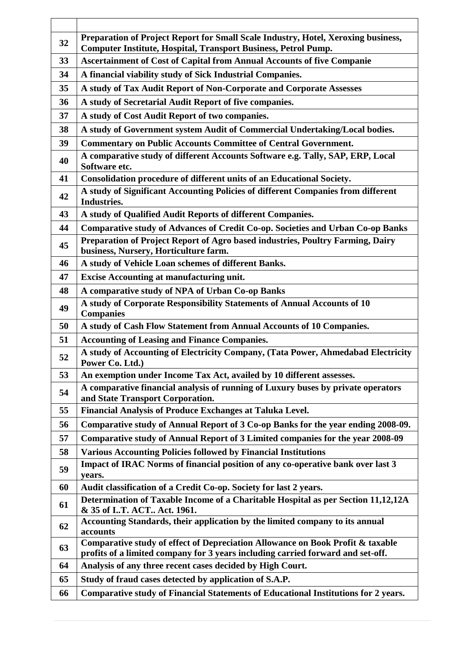| 32 | Preparation of Project Report for Small Scale Industry, Hotel, Xeroxing business,<br><b>Computer Institute, Hospital, Transport Business, Petrol Pump.</b>        |  |  |  |
|----|-------------------------------------------------------------------------------------------------------------------------------------------------------------------|--|--|--|
| 33 | <b>Ascertainment of Cost of Capital from Annual Accounts of five Companie</b>                                                                                     |  |  |  |
| 34 | A financial viability study of Sick Industrial Companies.                                                                                                         |  |  |  |
| 35 | A study of Tax Audit Report of Non-Corporate and Corporate Assesses                                                                                               |  |  |  |
| 36 | A study of Secretarial Audit Report of five companies.                                                                                                            |  |  |  |
| 37 | A study of Cost Audit Report of two companies.                                                                                                                    |  |  |  |
| 38 | A study of Government system Audit of Commercial Undertaking/Local bodies.                                                                                        |  |  |  |
| 39 | <b>Commentary on Public Accounts Committee of Central Government.</b>                                                                                             |  |  |  |
| 40 | A comparative study of different Accounts Software e.g. Tally, SAP, ERP, Local<br>Software etc.                                                                   |  |  |  |
| 41 | Consolidation procedure of different units of an Educational Society.                                                                                             |  |  |  |
| 42 | A study of Significant Accounting Policies of different Companies from different<br>Industries.                                                                   |  |  |  |
| 43 | A study of Qualified Audit Reports of different Companies.                                                                                                        |  |  |  |
| 44 | Comparative study of Advances of Credit Co-op. Societies and Urban Co-op Banks                                                                                    |  |  |  |
| 45 | Preparation of Project Report of Agro based industries, Poultry Farming, Dairy<br>business, Nursery, Horticulture farm.                                           |  |  |  |
| 46 | A study of Vehicle Loan schemes of different Banks.                                                                                                               |  |  |  |
| 47 | <b>Excise Accounting at manufacturing unit.</b>                                                                                                                   |  |  |  |
| 48 | A comparative study of NPA of Urban Co-op Banks                                                                                                                   |  |  |  |
| 49 | A study of Corporate Responsibility Statements of Annual Accounts of 10<br><b>Companies</b>                                                                       |  |  |  |
| 50 | A study of Cash Flow Statement from Annual Accounts of 10 Companies.                                                                                              |  |  |  |
| 51 | <b>Accounting of Leasing and Finance Companies.</b>                                                                                                               |  |  |  |
| 52 | A study of Accounting of Electricity Company, (Tata Power, Ahmedabad Electricity<br>Power Co. Ltd.)                                                               |  |  |  |
| 53 | An exemption under Income Tax Act, availed by 10 different assesses.                                                                                              |  |  |  |
| 54 | A comparative financial analysis of running of Luxury buses by private operators<br>and State Transport Corporation.                                              |  |  |  |
| 55 | Financial Analysis of Produce Exchanges at Taluka Level.                                                                                                          |  |  |  |
| 56 | Comparative study of Annual Report of 3 Co-op Banks for the year ending 2008-09.                                                                                  |  |  |  |
| 57 | Comparative study of Annual Report of 3 Limited companies for the year 2008-09                                                                                    |  |  |  |
| 58 | <b>Various Accounting Policies followed by Financial Institutions</b>                                                                                             |  |  |  |
| 59 | Impact of IRAC Norms of financial position of any co-operative bank over last 3<br>years.                                                                         |  |  |  |
| 60 | Audit classification of a Credit Co-op. Society for last 2 years.                                                                                                 |  |  |  |
| 61 | Determination of Taxable Income of a Charitable Hospital as per Section 11,12,12A<br>& 35 of I.T. ACT Act. 1961.                                                  |  |  |  |
| 62 | Accounting Standards, their application by the limited company to its annual<br>accounts                                                                          |  |  |  |
| 63 | Comparative study of effect of Depreciation Allowance on Book Profit & taxable<br>profits of a limited company for 3 years including carried forward and set-off. |  |  |  |
| 64 | Analysis of any three recent cases decided by High Court.                                                                                                         |  |  |  |
| 65 | Study of fraud cases detected by application of S.A.P.                                                                                                            |  |  |  |
| 66 | Comparative study of Financial Statements of Educational Institutions for 2 years.                                                                                |  |  |  |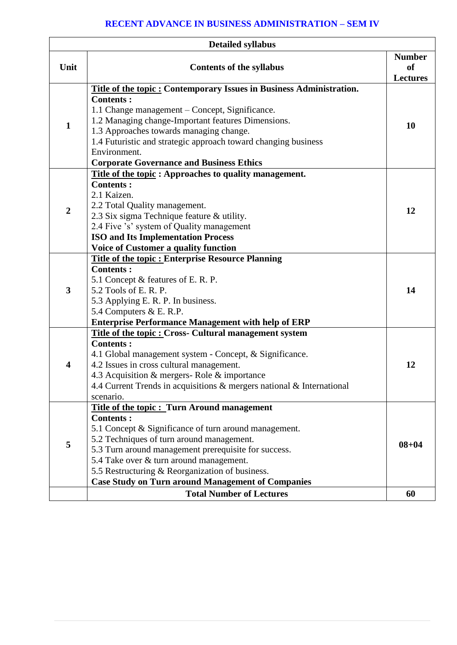## **RECENT ADVANCE IN BUSINESS ADMINISTRATION – SEM IV**

| <b>Detailed syllabus</b> |                                                                                                                            |                                                   |  |  |
|--------------------------|----------------------------------------------------------------------------------------------------------------------------|---------------------------------------------------|--|--|
| Unit                     | <b>Contents of the syllabus</b>                                                                                            | <b>Number</b><br><sub>of</sub><br><b>Lectures</b> |  |  |
|                          | <b>Title of the topic: Contemporary Issues in Business Administration.</b>                                                 |                                                   |  |  |
|                          | <b>Contents:</b>                                                                                                           |                                                   |  |  |
|                          | 1.1 Change management – Concept, Significance.                                                                             | 10                                                |  |  |
| $\mathbf{1}$             | 1.2 Managing change-Important features Dimensions.                                                                         |                                                   |  |  |
|                          | 1.3 Approaches towards managing change.                                                                                    |                                                   |  |  |
|                          | 1.4 Futuristic and strategic approach toward changing business                                                             |                                                   |  |  |
|                          | Environment.                                                                                                               |                                                   |  |  |
|                          | <b>Corporate Governance and Business Ethics</b>                                                                            |                                                   |  |  |
|                          | <b>Title of the topic:</b> Approaches to quality management.                                                               |                                                   |  |  |
|                          | <b>Contents:</b>                                                                                                           |                                                   |  |  |
|                          | 2.1 Kaizen.                                                                                                                |                                                   |  |  |
| $\overline{2}$           | 2.2 Total Quality management.                                                                                              | 12                                                |  |  |
|                          | 2.3 Six sigma Technique feature & utility.                                                                                 |                                                   |  |  |
|                          | 2.4 Five 's' system of Quality management                                                                                  |                                                   |  |  |
|                          | <b>ISO and Its Implementation Process</b>                                                                                  |                                                   |  |  |
|                          | Voice of Customer a quality function                                                                                       |                                                   |  |  |
|                          | <b>Title of the topic: Enterprise Resource Planning</b>                                                                    |                                                   |  |  |
|                          | <b>Contents:</b>                                                                                                           | 14                                                |  |  |
| 3                        | 5.1 Concept & features of E. R. P.<br>5.2 Tools of E. R. P.                                                                |                                                   |  |  |
|                          |                                                                                                                            |                                                   |  |  |
|                          | 5.3 Applying E. R. P. In business.                                                                                         |                                                   |  |  |
|                          | 5.4 Computers & E. R.P.                                                                                                    |                                                   |  |  |
|                          | <b>Enterprise Performance Management with help of ERP</b><br><b>Title of the topic : Cross- Cultural management system</b> |                                                   |  |  |
|                          | <b>Contents:</b>                                                                                                           |                                                   |  |  |
|                          | 4.1 Global management system - Concept, & Significance.                                                                    |                                                   |  |  |
| $\overline{\mathbf{4}}$  | 4.2 Issues in cross cultural management.                                                                                   | 12                                                |  |  |
|                          | 4.3 Acquisition & mergers-Role & importance                                                                                |                                                   |  |  |
|                          | 4.4 Current Trends in acquisitions & mergers national & International                                                      |                                                   |  |  |
|                          | scenario.                                                                                                                  |                                                   |  |  |
|                          | <b>Title of the topic: Turn Around management</b>                                                                          |                                                   |  |  |
|                          | <b>Contents:</b>                                                                                                           |                                                   |  |  |
|                          | 5.1 Concept & Significance of turn around management.                                                                      |                                                   |  |  |
|                          | 5.2 Techniques of turn around management.                                                                                  |                                                   |  |  |
| 5                        | 5.3 Turn around management prerequisite for success.                                                                       | $08 + 04$                                         |  |  |
|                          | 5.4 Take over & turn around management.                                                                                    |                                                   |  |  |
|                          | 5.5 Restructuring & Reorganization of business.                                                                            |                                                   |  |  |
|                          | <b>Case Study on Turn around Management of Companies</b>                                                                   |                                                   |  |  |
|                          | <b>Total Number of Lectures</b>                                                                                            | 60                                                |  |  |